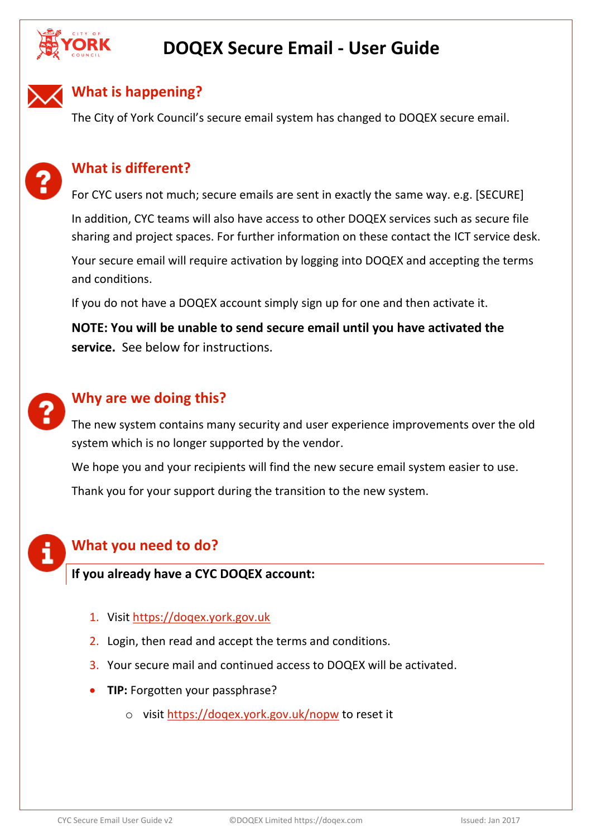



## **What is happening?**

The City of York Council's secure email system has changed to DOQEX secure email.

### **What is different?**

For CYC users not much; secure emails are sent in exactly the same way. e.g. [SECURE]

In addition, CYC teams will also have access to other DOQEX services such as secure file sharing and project spaces. For further information on these contact the ICT service desk.

Your secure email will require activation by logging into DOQEX and accepting the terms and conditions.

If you do not have a DOQEX account simply sign up for one and then activate it.

**NOTE: You will be unable to send secure email until you have activated the service.** See below for instructions.



#### **Why are we doing this?**

The new system contains many security and user experience improvements over the old system which is no longer supported by the vendor.

We hope you and your recipients will find the new secure email system easier to use.

Thank you for your support during the transition to the new system.

## **What you need to do?**

**If you already have a CYC DOQEX account:**

- 1. Visit [https://doqex.york.gov.uk](https://doqex.york.gov.uk/)
- 2. Login, then read and accept the terms and conditions.
- 3. Your secure mail and continued access to DOQEX will be activated.
- **TIP:** Forgotten your passphrase?
	- o visit [https://doqex.york.gov.uk/nopw](https://doqex.york.gov.uk/nopw/) to reset it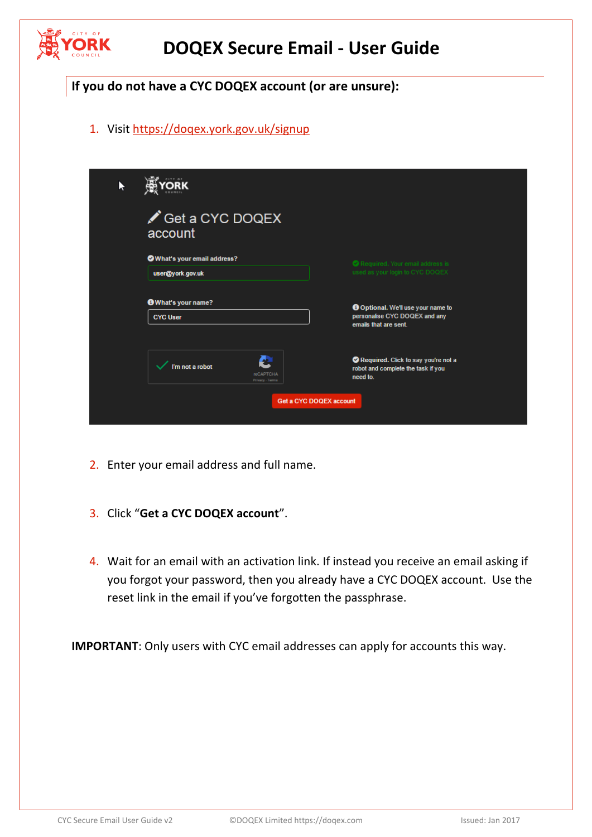

- 2. Enter your email address and full name.
- 3. Click "**Get a CYC DOQEX account**".
- 4. Wait for an email with an activation link. If instead you receive an email asking if you forgot your password, then you already have a CYC DOQEX account. Use the reset link in the email if you've forgotten the passphrase.

**IMPORTANT**: Only users with CYC email addresses can apply for accounts this way.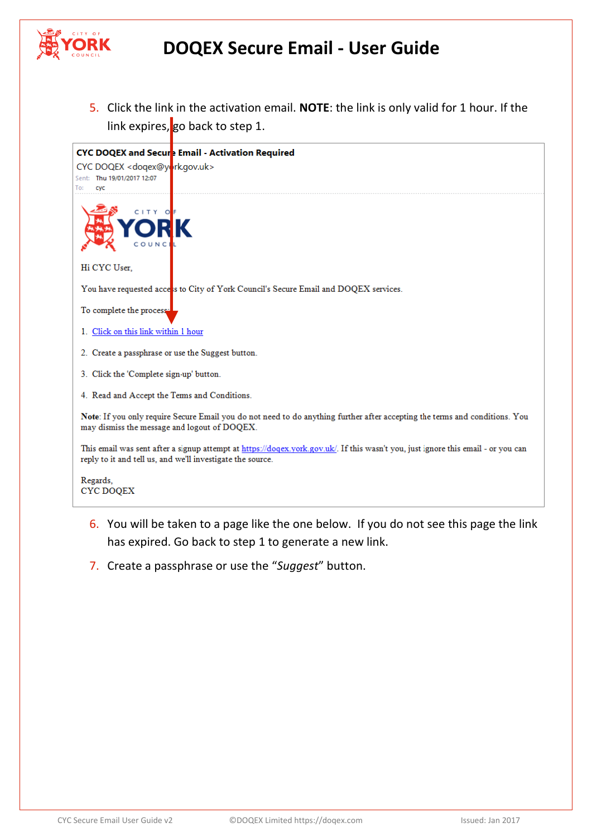

## **DOQEX Secure Email - User Guide**

5. Click the link in the activation email. **NOTE**: the link is only valid for 1 hour. If the link expires, go back to step 1.



- 6. You will be taken to a page like the one below. If you do not see this page the link has expired. Go back to step 1 to generate a new link.
- 7. Create a passphrase or use the "*Suggest*" button.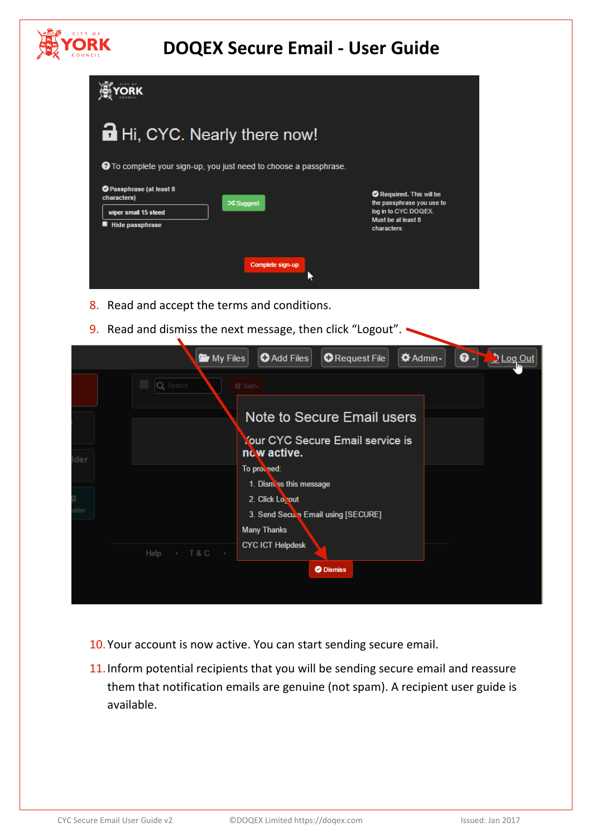

- 8. Read and accept the terms and conditions.
- 9. Read and dismiss the next message, then click "Logout".

|             | My Files                    | <b>O</b> Add Files<br><b>O</b> Request File                                                       | <b>☆</b> Admin - | $\bigcirc$ - $\bigcirc$ $\bigcirc$ Log Out |
|-------------|-----------------------------|---------------------------------------------------------------------------------------------------|------------------|--------------------------------------------|
|             | Q Search                    | <b>J</b> † Sort-<br>Note to Secure Email users                                                    |                  |                                            |
| lder        |                             | Your CYC Secure Email service is<br>now active.                                                   |                  |                                            |
| <b>Ider</b> |                             | To proveed:<br>1. Dism'ss this message<br>2. Click Lo, out<br>3. Send Secuve Email using [SECURE] |                  |                                            |
|             | Help<br>$\cdot$ T&C $\cdot$ | <b>Many Thanks</b><br><b>CYC ICT Helpdesk</b>                                                     |                  |                                            |
|             |                             | <b>O</b> Dismiss                                                                                  |                  |                                            |

- 10.Your account is now active. You can start sending secure email.
- 11.Inform potential recipients that you will be sending secure email and reassure them that notification emails are genuine (not spam). A recipient user guide is available.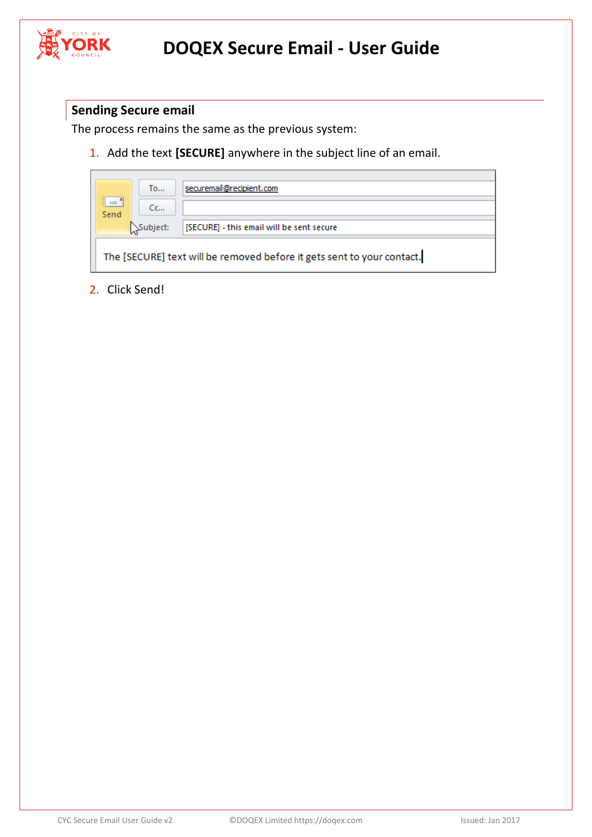

## **DOQEX Secure Email - User Guide**

#### **Sending Secure email**

The process remains the same as the previous system:

1. Add the text **[SECURE]** anywhere in the subject line of an email.

|                                                                        | To       | securemail@recipient.com                  |  |  |
|------------------------------------------------------------------------|----------|-------------------------------------------|--|--|
| ="<br>Send                                                             | Cc       |                                           |  |  |
|                                                                        | Subject: | [SECURE] - this email will be sent secure |  |  |
| The [SECURE] text will be removed before it gets sent to your contact. |          |                                           |  |  |

2. Click Send!